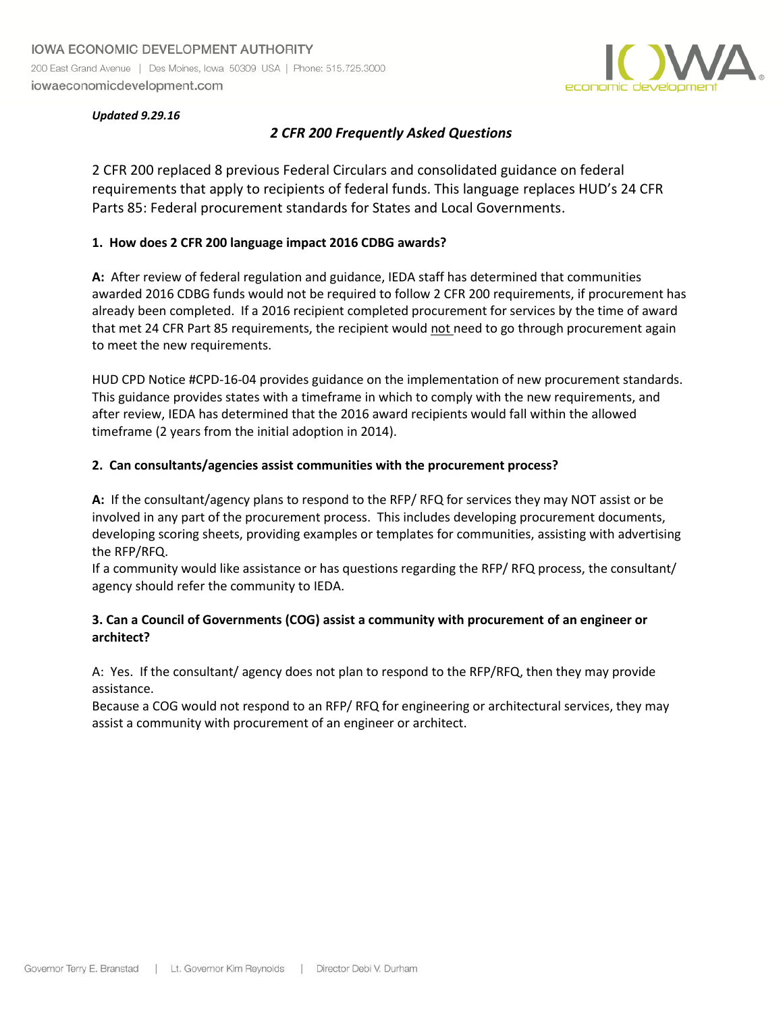

#### *Updated 9.29.16*

# *2 CFR 200 Frequently Asked Questions*

2 CFR 200 replaced 8 previous Federal Circulars and consolidated guidance on federal requirements that apply to recipients of federal funds. This language replaces HUD's 24 CFR Parts 85: Federal procurement standards for States and Local Governments.

#### **1. How does 2 CFR 200 language impact 2016 CDBG awards?**

**A:** After review of federal regulation and guidance, IEDA staff has determined that communities awarded 2016 CDBG funds would not be required to follow 2 CFR 200 requirements, if procurement has already been completed. If a 2016 recipient completed procurement for services by the time of award that met 24 CFR Part 85 requirements, the recipient would not need to go through procurement again to meet the new requirements.

HUD CPD Notice #CPD-16-04 provides guidance on the implementation of new procurement standards. This guidance provides states with a timeframe in which to comply with the new requirements, and after review, IEDA has determined that the 2016 award recipients would fall within the allowed timeframe (2 years from the initial adoption in 2014).

#### **2. Can consultants/agencies assist communities with the procurement process?**

**A:** If the consultant/agency plans to respond to the RFP/ RFQ for services they may NOT assist or be involved in any part of the procurement process. This includes developing procurement documents, developing scoring sheets, providing examples or templates for communities, assisting with advertising the RFP/RFQ.

If a community would like assistance or has questions regarding the RFP/ RFQ process, the consultant/ agency should refer the community to IEDA.

## **3. Can a Council of Governments (COG) assist a community with procurement of an engineer or architect?**

A: Yes. If the consultant/ agency does not plan to respond to the RFP/RFQ, then they may provide assistance.

Because a COG would not respond to an RFP/ RFQ for engineering or architectural services, they may assist a community with procurement of an engineer or architect.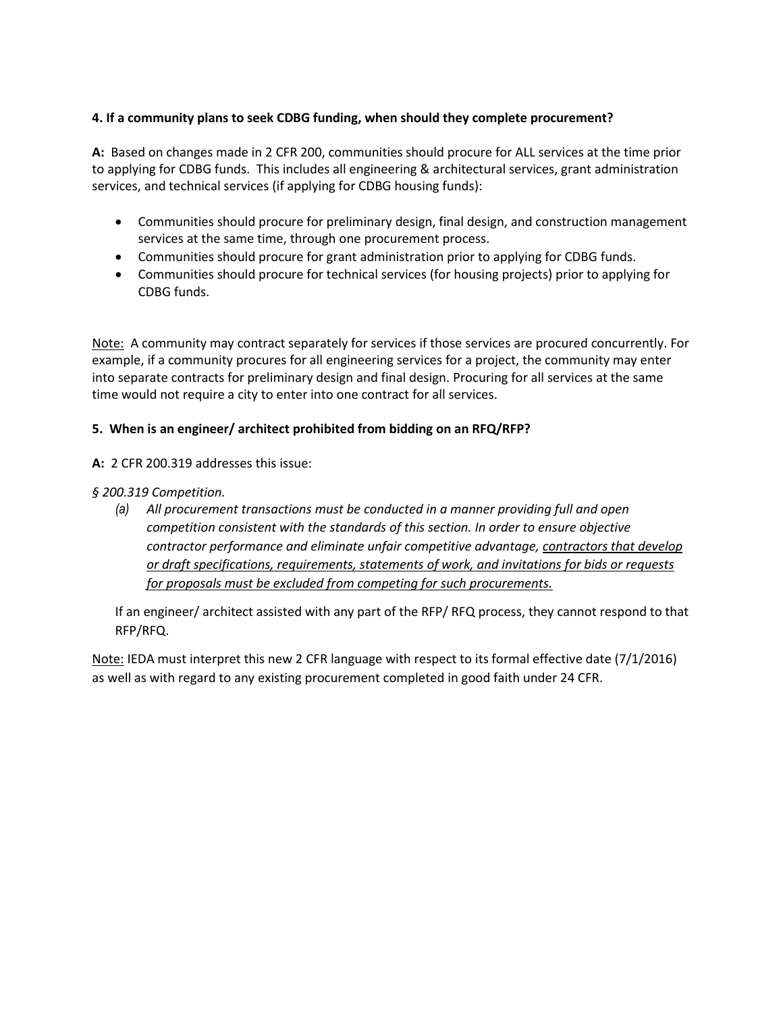# **4. If a community plans to seek CDBG funding, when should they complete procurement?**

**A:** Based on changes made in 2 CFR 200, communities should procure for ALL services at the time prior to applying for CDBG funds. This includes all engineering & architectural services, grant administration services, and technical services (if applying for CDBG housing funds):

- Communities should procure for preliminary design, final design, and construction management services at the same time, through one procurement process.
- Communities should procure for grant administration prior to applying for CDBG funds.
- Communities should procure for technical services (for housing projects) prior to applying for CDBG funds.

Note: A community may contract separately for services if those services are procured concurrently. For example, if a community procures for all engineering services for a project, the community may enter into separate contracts for preliminary design and final design. Procuring for all services at the same time would not require a city to enter into one contract for all services.

## **5. When is an engineer/ architect prohibited from bidding on an RFQ/RFP?**

#### **A:** 2 CFR 200.319 addresses this issue:

## *§ 200.319 Competition.*

*(a) All procurement transactions must be conducted in a manner providing full and open competition consistent with the standards of this section. In order to ensure objective contractor performance and eliminate unfair competitive advantage, contractors that develop or draft specifications, requirements, statements of work, and invitations for bids or requests for proposals must be excluded from competing for such procurements.* 

If an engineer/ architect assisted with any part of the RFP/ RFQ process, they cannot respond to that RFP/RFQ.

Note: IEDA must interpret this new 2 CFR language with respect to its formal effective date (7/1/2016) as well as with regard to any existing procurement completed in good faith under 24 CFR.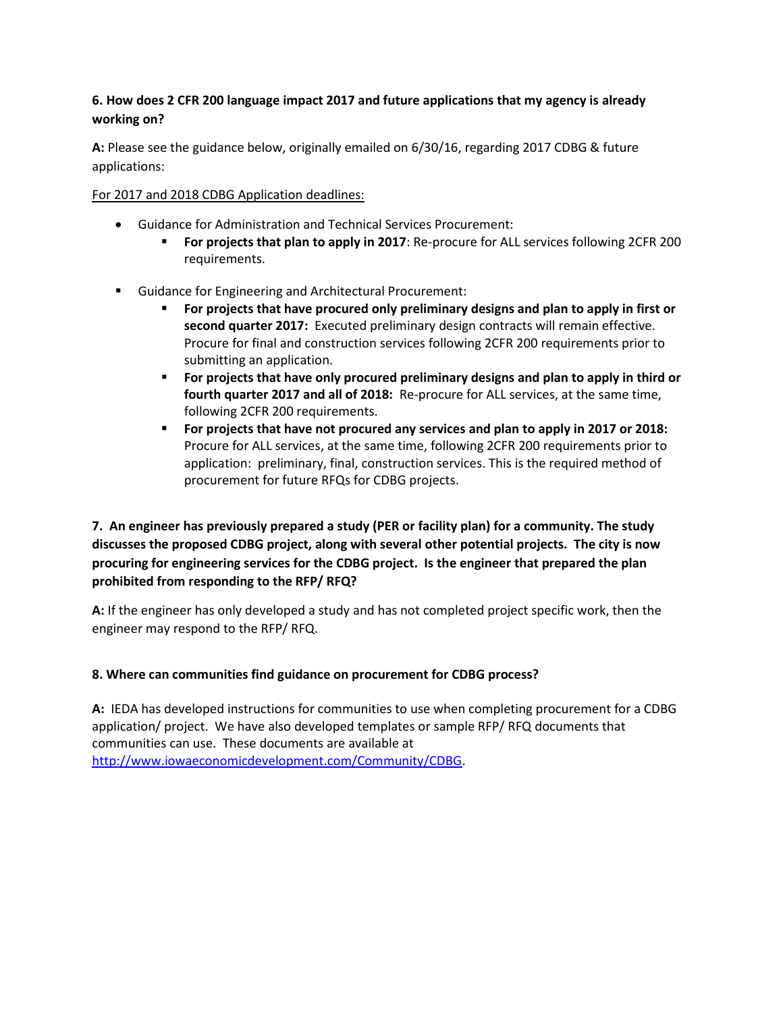# **6. How does 2 CFR 200 language impact 2017 and future applications that my agency is already working on?**

**A:** Please see the guidance below, originally emailed on 6/30/16, regarding 2017 CDBG & future applications:

## For 2017 and 2018 CDBG Application deadlines:

- Guidance for Administration and Technical Services Procurement:
	- **For projects that plan to apply in 2017**: Re-procure for ALL services following 2CFR 200 requirements.
- Guidance for Engineering and Architectural Procurement:
	- **For projects that have procured only preliminary designs and plan to apply in first or second quarter 2017:** Executed preliminary design contracts will remain effective. Procure for final and construction services following 2CFR 200 requirements prior to submitting an application.
	- **For projects that have only procured preliminary designs and plan to apply in third or fourth quarter 2017 and all of 2018:** Re-procure for ALL services, at the same time, following 2CFR 200 requirements.
	- **For projects that have not procured any services and plan to apply in 2017 or 2018:** Procure for ALL services, at the same time, following 2CFR 200 requirements prior to application: preliminary, final, construction services. This is the required method of procurement for future RFQs for CDBG projects.

**7. An engineer has previously prepared a study (PER or facility plan) for a community. The study discusses the proposed CDBG project, along with several other potential projects. The city is now procuring for engineering services for the CDBG project. Is the engineer that prepared the plan prohibited from responding to the RFP/ RFQ?** 

**A:** If the engineer has only developed a study and has not completed project specific work, then the engineer may respond to the RFP/ RFQ.

# **8. Where can communities find guidance on procurement for CDBG process?**

**A:** IEDA has developed instructions for communities to use when completing procurement for a CDBG application/ project. We have also developed templates or sample RFP/ RFQ documents that communities can use. These documents are available at [http://www.iowaeconomicdevelopment.com/Community/CDBG.](http://www.iowaeconomicdevelopment.com/Community/CDBG)